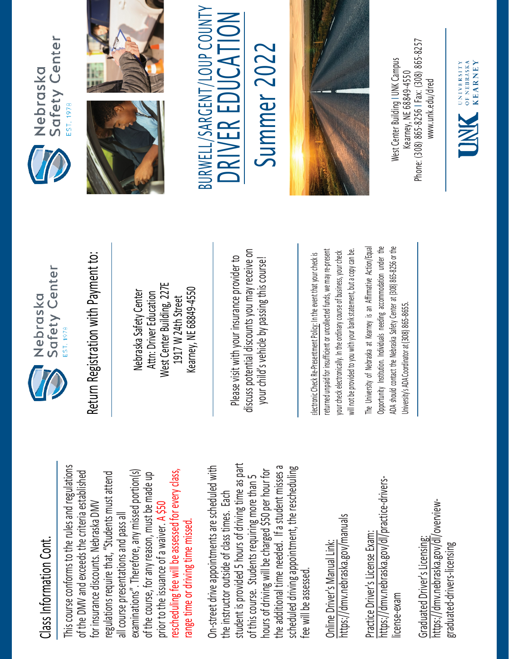## Class Information Cont. Class Information Cont.

This course conforms to the rules and regulations This course conforms to the rules and regulations rescheduling fee will be assessed for every class, examinations". Therefore, any missed portion(s) of the DMV and exceeds the criteria established regulations require that, "Students must attend of the DMV and exceeds the criteria established examinations". Therefore, any missed portion(s) of the course, for any reason, must be made up rescheduling fee will be assessed for every class, regulations require that, "Students must attend of the course, for any reason, must be made up for insurance discounts. Nebraska DMV for insurance discounts. Nebraska DMV prior to the issuance of a waiver. A \$50 all course presentations and pass all all course presentations and pass all range time or driving time missed. prior to the issuance of a waiver. range time or driving time missed

student is provided 5 hours of driving time as part On-street drive appointments are scheduled with student is provided 5 hours of driving time as part the additional time needed. If a student misses a scheduled driving appointment, the rescheduling the additional time needed. If a student misses a On-street drive appointments are scheduled with hours of driving will be charged \$50 per hour for hours of driving will be charged \$50 per hour for scheduled driving appointment, the rescheduling of this course. Students requiring more than 5 of this course. Students requiring more than 5 the instructor outside of class times. Each the instructor outside of class times. Each fee will be assessed. fee will be assessed

https://dmv.nebraska.gov/manuals https://dmv.nebraska.gov/manuals Online Driver's Manual Link: Online Driver's Manual Link:

https://dmv.nebraska.gov/dl/practice-drivershttps://dmv.nebraska.gov/dl/practice-drivers-Practice Driver's License Exam: Practice Driver's License Exam: license-exam icense-exam

https://dmv.nebraska.gov/dl/overviewhttps://dmv.nebraska.gov/dl/overview-Graduated Driver's Licensing: Graduated Driver's Licensing: graduated-drivers-licensing graduated-drivers-licensing



Nebraska Safety Center Attn: Driver Education West Center Building, 227E 1917 W 24th Street Kearney, NE 68849-4550

Please visit with your insurance provider to discuss potential discounts you may receive on potential discounts you may receive on your child's vehicle by passing this course! Return Registration with Payment to:<br>
Nebraska Safety Center<br>
Attn: Driver Education<br>
1917 W 24th Street<br>
Rearney, NE 68849-4550<br>
Rease visit with your insurance provider to<br>
Please visit with your insurance provider to<br>
y

returned unpaid for insufficient or uncollected funds, we may re-present a copy can be. returned unpaid for insufficient or uncollected funds, we may re-present will not be provided to you with your bank statement, but a copy can be. your check electronically. In the ordinary course of business, your check your check electronically. In the ordinary course of business, your check will not be provided to you with your bank statement, but

The University of Nebraska at Kearney is an Affirmative Action/Equal The University of Nebraska at Kearney is an Affirmative Action/Equal Opportunity Institution. Individuals needing accommodation under the ADA should contact the Nebraska Safety Center at (308) 865-8256 or the Opportunity Institution. Individuals needing accommodation under the ADA should contact the Nebraska Safety Center at (308) 865-8256 or the Jniversity's ADA Coordinator at (308) 865-8655. University's ADA Coordinator at (308) 86







BURWELL/SARGENT/LOUP COUNTY<br>DRIVER EDUCATION

## Summer 2022 Summer 2022



Phone: (308) 865-8256 | Fax: (308) 865-8257 West Center Building I UNK Campus **Nest Center Building I UNK Campus** -8256 I Fax: (308) 865 Kearney, NE 68849-4550 www.unk.edu/dred [www.unk.edu/dred](http://www.unk.edu/dred) Kearney, NE 68849 Phone: (308) 865

UNIVERSITY<br>
OF NEBRASKA<br>
KFARNEY **KEARNEY**